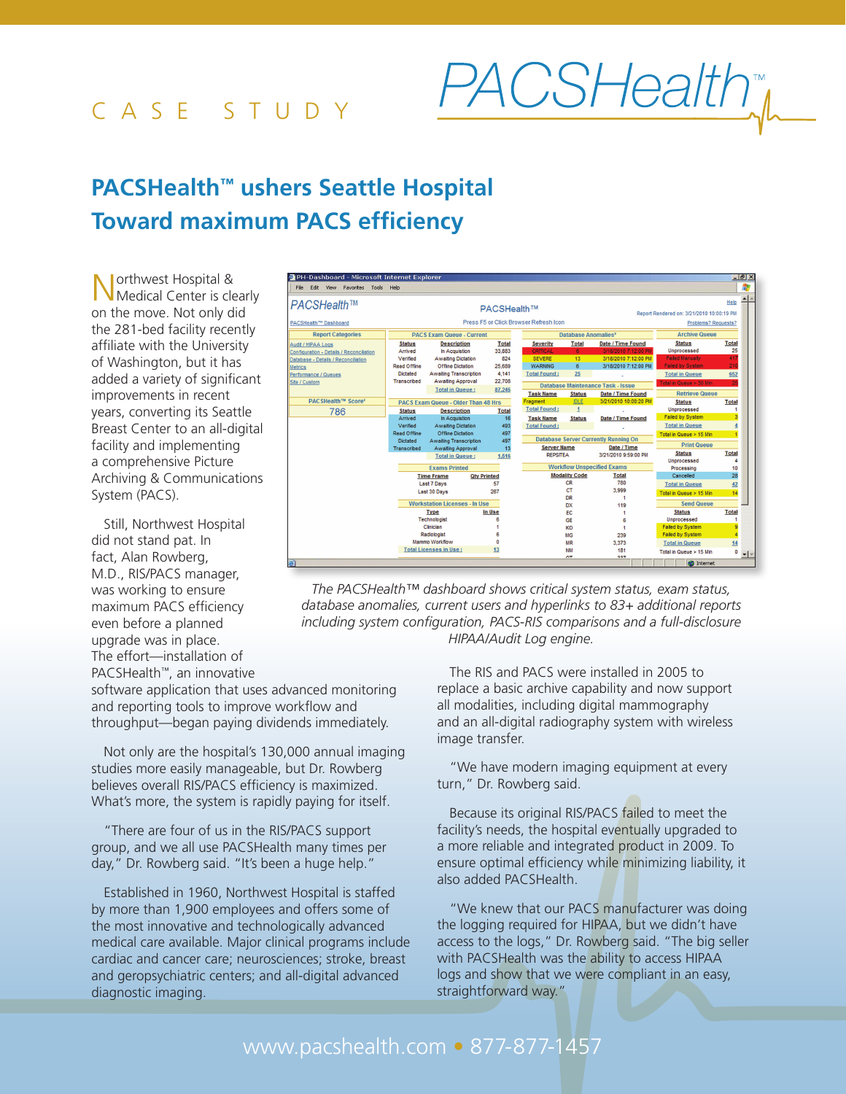## case stud y

## **PACSHealth™ ushers Seattle Hospital Toward maximum PACS efficiency**

Northwest Hospital & Medical Center is clearly on the move. Not only did the 281-bed facility recently affiliate with the University of Washington, but it has added a variety of significant improvements in recent years, converting its Seattle Breast Center to an all-digital facility and implementing a comprehensive Picture Archiving & Communications System (PACS).

Still, Northwest Hospital did not stand pat. In fact, Alan Rowberg, M.D., RIS/PACS manager, was working to ensure maximum PACS efficiency even before a planned upgrade was in place. The effort—installation of PACSHealth™, an innovative



*The PACSHealth™ dashboard shows critical system status, exam status, database anomalies, current users and hyperlinks to 83+ additional reports including system configuration, PACS-RIS comparisons and a full-disclosure HIPAA/Audit Log engine.*

software application that uses advanced monitoring and reporting tools to improve workflow and throughput—began paying dividends immediately.

Not only are the hospital's 130,000 annual imaging studies more easily manageable, but Dr. Rowberg believes overall RIS/PACS efficiency is maximized. What's more, the system is rapidly paying for itself.

"There are four of us in the RIS/PACS support group, and we all use PACSHealth many times per day," Dr. Rowberg said. "It's been a huge help."

Established in 1960, Northwest Hospital is staffed by more than 1,900 employees and offers some of the most innovative and technologically advanced medical care available. Major clinical programs include cardiac and cancer care; neurosciences; stroke, breast and geropsychiatric centers; and all-digital advanced diagnostic imaging.

The RIS and PACS were installed in 2005 to replace a basic archive capability and now support all modalities, including digital mammography and an all-digital radiography system with wireless image transfer.

*PACSHealth* 

"We have modern imaging equipment at every turn," Dr. Rowberg said.

Because its original RIS/PACS failed to meet the facility's needs, the hospital eventually upgraded to a more reliable and integrated product in 2009. To ensure optimal efficiency while minimizing liability, it also added PACSHealth.

"We knew that our PACS manufacturer was doing the logging required for HIPAA, but we didn't have access to the logs," Dr. Rowberg said. "The big seller with PACSHealth was the ability to access HIPAA logs and show that we were compliant in an easy, straightforward way."

## www.pacshealth.com • 877-877-1457